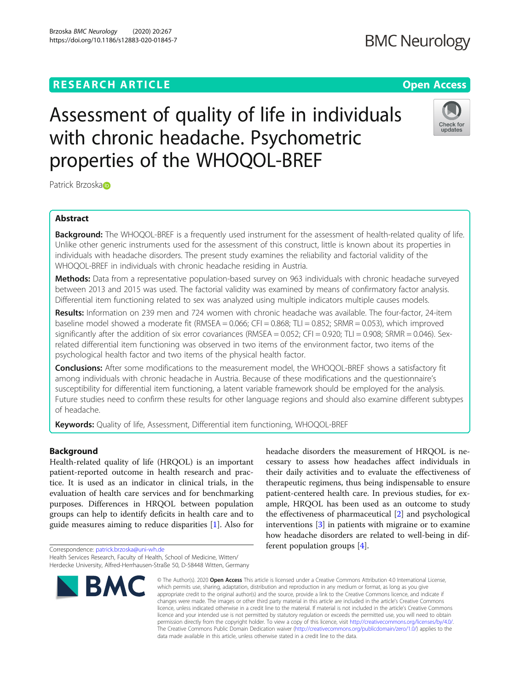## **RESEARCH ARTICLE Example 2014 12:30 The Contract of Contract ACCESS**

# Assessment of quality of life in individuals with chronic headache. Psychometric properties of the WHOQOL-BREF

Patrick Brzoska<sup>n</sup>

## Abstract

**Background:** The WHOQOL-BREF is a frequently used instrument for the assessment of health-related quality of life. Unlike other generic instruments used for the assessment of this construct, little is known about its properties in individuals with headache disorders. The present study examines the reliability and factorial validity of the WHOQOL-BREF in individuals with chronic headache residing in Austria.

Methods: Data from a representative population-based survey on 963 individuals with chronic headache surveyed between 2013 and 2015 was used. The factorial validity was examined by means of confirmatory factor analysis. Differential item functioning related to sex was analyzed using multiple indicators multiple causes models.

Results: Information on 239 men and 724 women with chronic headache was available. The four-factor, 24-item baseline model showed a moderate fit (RMSEA = 0.066; CFI = 0.868; TLI = 0.852; SRMR = 0.053), which improved significantly after the addition of six error covariances (RMSEA =  $0.052$ ; CFI =  $0.920$ ; TLI =  $0.908$ ; SRMR =  $0.046$ ). Sexrelated differential item functioning was observed in two items of the environment factor, two items of the psychological health factor and two items of the physical health factor.

**Conclusions:** After some modifications to the measurement model, the WHOOOL-BREF shows a satisfactory fit among individuals with chronic headache in Austria. Because of these modifications and the questionnaire's susceptibility for differential item functioning, a latent variable framework should be employed for the analysis. Future studies need to confirm these results for other language regions and should also examine different subtypes of headache.

Keywords: Quality of life, Assessment, Differential item functioning, WHOQOL-BREF

## Background

Health-related quality of life (HRQOL) is an important patient-reported outcome in health research and practice. It is used as an indicator in clinical trials, in the evaluation of health care services and for benchmarking purposes. Differences in HRQOL between population groups can help to identify deficits in health care and to guide measures aiming to reduce disparities [[1\]](#page-6-0). Also for

Correspondence: [patrick.brzoska@uni-wh.de](mailto:patrick.brzoska@uni-wh.de) Health Services Research, Faculty of Health, School of Medicine, Witten/ Herdecke University, Alfred-Herrhausen-Straße 50, D-58448 Witten, Germany

## © The Author(s), 2020 **Open Access** This article is licensed under a Creative Commons Attribution 4.0 International License, **BMC**

headache disorders the measurement of HRQOL is necessary to assess how headaches affect individuals in their daily activities and to evaluate the effectiveness of therapeutic regimens, thus being indispensable to ensure patient-centered health care. In previous studies, for example, HRQOL has been used as an outcome to study the effectiveness of pharmaceutical [[2\]](#page-6-0) and psychological interventions [\[3](#page-6-0)] in patients with migraine or to examine how headache disorders are related to well-being in different population groups [[4](#page-6-0)].

## **BMC Neurology**



which permits use, sharing, adaptation, distribution and reproduction in any medium or format, as long as you give appropriate credit to the original author(s) and the source, provide a link to the Creative Commons licence, and indicate if changes were made. The images or other third party material in this article are included in the article's Creative Commons licence, unless indicated otherwise in a credit line to the material. If material is not included in the article's Creative Commons licence and your intended use is not permitted by statutory regulation or exceeds the permitted use, you will need to obtain permission directly from the copyright holder. To view a copy of this licence, visit [http://creativecommons.org/licenses/by/4.0/.](http://creativecommons.org/licenses/by/4.0/) The Creative Commons Public Domain Dedication waiver [\(http://creativecommons.org/publicdomain/zero/1.0/](http://creativecommons.org/publicdomain/zero/1.0/)) applies to the data made available in this article, unless otherwise stated in a credit line to the data.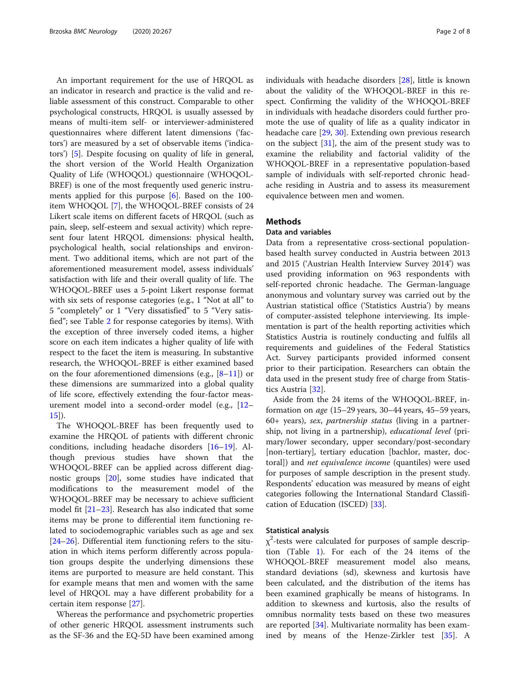An important requirement for the use of HRQOL as an indicator in research and practice is the valid and reliable assessment of this construct. Comparable to other psychological constructs, HRQOL is usually assessed by means of multi-item self- or interviewer-administered questionnaires where different latent dimensions ('factors') are measured by a set of observable items ('indicators') [[5\]](#page-6-0). Despite focusing on quality of life in general, the short version of the World Health Organization Quality of Life (WHOQOL) questionnaire (WHOQOL-BREF) is one of the most frequently used generic instruments applied for this purpose [[6](#page-6-0)]. Based on the 100 item WHOQOL [\[7](#page-6-0)], the WHOQOL-BREF consists of 24 Likert scale items on different facets of HRQOL (such as pain, sleep, self-esteem and sexual activity) which represent four latent HRQOL dimensions: physical health, psychological health, social relationships and environment. Two additional items, which are not part of the aforementioned measurement model, assess individuals' satisfaction with life and their overall quality of life. The WHOQOL-BREF uses a 5-point Likert response format with six sets of response categories (e.g., 1 "Not at all" to 5 "completely" or 1 "Very dissatisfied" to 5 "Very satisfied"; see Table [2](#page-3-0) for response categories by items). With the exception of three inversely coded items, a higher score on each item indicates a higher quality of life with respect to the facet the item is measuring. In substantive research, the WHOQOL-BREF is either examined based on the four aforementioned dimensions (e.g.,  $[8-11]$  $[8-11]$  $[8-11]$ ) or these dimensions are summarized into a global quality of life score, effectively extending the four-factor measurement model into a second-order model (e.g., [[12](#page-6-0)– [15\]](#page-6-0)).

The WHOQOL-BREF has been frequently used to examine the HRQOL of patients with different chronic conditions, including headache disorders [[16](#page-6-0)–[19](#page-6-0)]. Although previous studies have shown that the WHOQOL-BREF can be applied across different diagnostic groups [[20\]](#page-6-0), some studies have indicated that modifications to the measurement model of the WHOQOL-BREF may be necessary to achieve sufficient model fit [\[21](#page-6-0)–[23\]](#page-6-0). Research has also indicated that some items may be prone to differential item functioning related to sociodemographic variables such as age and sex [[24](#page-6-0)–[26](#page-6-0)]. Differential item functioning refers to the situation in which items perform differently across population groups despite the underlying dimensions these items are purported to measure are held constant. This for example means that men and women with the same level of HRQOL may a have different probability for a certain item response [[27\]](#page-6-0).

Whereas the performance and psychometric properties of other generic HRQOL assessment instruments such as the SF-36 and the EQ-5D have been examined among individuals with headache disorders [[28\]](#page-6-0), little is known about the validity of the WHOQOL-BREF in this respect. Confirming the validity of the WHOQOL-BREF in individuals with headache disorders could further promote the use of quality of life as a quality indicator in headache care [[29,](#page-6-0) [30\]](#page-6-0). Extending own previous research on the subject [[31\]](#page-6-0), the aim of the present study was to examine the reliability and factorial validity of the WHOQOL-BREF in a representative population-based sample of individuals with self-reported chronic headache residing in Austria and to assess its measurement equivalence between men and women.

## **Methods**

## Data and variables

Data from a representative cross-sectional populationbased health survey conducted in Austria between 2013 and 2015 ('Austrian Health Interview Survey 2014') was used providing information on 963 respondents with self-reported chronic headache. The German-language anonymous and voluntary survey was carried out by the Austrian statistical office ('Statistics Austria') by means of computer-assisted telephone interviewing. Its implementation is part of the health reporting activities which Statistics Austria is routinely conducting and fulfils all requirements and guidelines of the Federal Statistics Act. Survey participants provided informed consent prior to their participation. Researchers can obtain the data used in the present study free of charge from Statistics Austria [[32](#page-6-0)].

Aside from the 24 items of the WHOQOL-BREF, information on age (15–29 years, 30–44 years, 45–59 years, 60+ years), sex, partnership status (living in a partnership, not living in a partnership), educational level (primary/lower secondary, upper secondary/post-secondary [non-tertiary], tertiary education [bachlor, master, doctoral]) and net equivalence income (quantiles) were used for purposes of sample description in the present study. Respondents' education was measured by means of eight categories following the International Standard Classification of Education (ISCED) [[33\]](#page-6-0).

#### Statistical analysis

 $\chi^2$ -tests were calculated for purposes of sample description (Table [1](#page-2-0)). For each of the 24 items of the WHOQOL-BREF measurement model also means, standard deviations (sd), skewness and kurtosis have been calculated, and the distribution of the items has been examined graphically be means of histograms. In addition to skewness and kurtosis, also the results of omnibus normality tests based on these two measures are reported [\[34\]](#page-6-0). Multivariate normality has been examined by means of the Henze-Zirkler test [[35\]](#page-6-0). A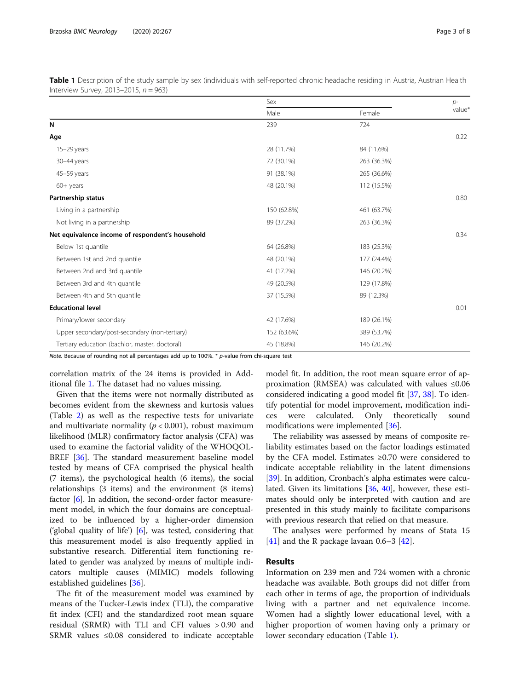<span id="page-2-0"></span>

| Table 1 Description of the study sample by sex (individuals with self-reported chronic headache residing in Austria, Austrian Health |  |  |
|--------------------------------------------------------------------------------------------------------------------------------------|--|--|
| Interview Survey, 2013-2015, $n = 963$ )                                                                                             |  |  |

|                                                  | Sex         |             | $p-$   |  |
|--------------------------------------------------|-------------|-------------|--------|--|
|                                                  | Male        | Female      | value* |  |
| N                                                | 239         | 724         |        |  |
| Age                                              |             |             | 0.22   |  |
| $15-29$ years                                    | 28 (11.7%)  | 84 (11.6%)  |        |  |
| 30-44 years                                      | 72 (30.1%)  | 263 (36.3%) |        |  |
| 45-59 years                                      | 91 (38.1%)  | 265 (36.6%) |        |  |
| $60+$ years                                      | 48 (20.1%)  | 112 (15.5%) |        |  |
| Partnership status                               |             |             | 0.80   |  |
| Living in a partnership                          | 150 (62.8%) | 461 (63.7%) |        |  |
| Not living in a partnership                      | 89 (37.2%)  | 263 (36.3%) |        |  |
| Net equivalence income of respondent's household |             |             | 0.34   |  |
| Below 1st quantile                               | 64 (26.8%)  | 183 (25.3%) |        |  |
| Between 1st and 2nd quantile                     | 48 (20.1%)  | 177 (24.4%) |        |  |
| Between 2nd and 3rd quantile                     | 41 (17.2%)  | 146 (20.2%) |        |  |
| Between 3rd and 4th quantile                     | 49 (20.5%)  | 129 (17.8%) |        |  |
| Between 4th and 5th quantile                     | 37 (15.5%)  | 89 (12.3%)  |        |  |
| <b>Educational level</b>                         |             |             | 0.01   |  |
| Primary/lower secondary                          | 42 (17.6%)  | 189 (26.1%) |        |  |
| Upper secondary/post-secondary (non-tertiary)    | 152 (63.6%) | 389 (53.7%) |        |  |
| Tertiary education (bachlor, master, doctoral)   | 45 (18.8%)  | 146 (20.2%) |        |  |

Note. Because of rounding not all percentages add up to 100%.  $*$  p-value from chi-square test

correlation matrix of the 24 items is provided in Additional file [1.](#page-5-0) The dataset had no values missing.

Given that the items were not normally distributed as becomes evident from the skewness and kurtosis values (Table [2\)](#page-3-0) as well as the respective tests for univariate and multivariate normality ( $p < 0.001$ ), robust maximum likelihood (MLR) confirmatory factor analysis (CFA) was used to examine the factorial validity of the WHOQOL-BREF [\[36\]](#page-6-0). The standard measurement baseline model tested by means of CFA comprised the physical health (7 items), the psychological health (6 items), the social relationships (3 items) and the environment (8 items) factor [[6\]](#page-6-0). In addition, the second-order factor measurement model, in which the four domains are conceptualized to be influenced by a higher-order dimension ('global quality of life') [\[6](#page-6-0)], was tested, considering that this measurement model is also frequently applied in substantive research. Differential item functioning related to gender was analyzed by means of multiple indicators multiple causes (MIMIC) models following established guidelines [\[36](#page-6-0)].

The fit of the measurement model was examined by means of the Tucker-Lewis index (TLI), the comparative fit index (CFI) and the standardized root mean square residual (SRMR) with TLI and CFI values > 0.90 and SRMR values ≤0.08 considered to indicate acceptable

model fit. In addition, the root mean square error of approximation (RMSEA) was calculated with values ≤0.06 considered indicating a good model fit [\[37](#page-6-0), [38](#page-6-0)]. To identify potential for model improvement, modification indices were calculated. Only theoretically sound modifications were implemented [\[36\]](#page-6-0).

The reliability was assessed by means of composite reliability estimates based on the factor loadings estimated by the CFA model. Estimates ≥0.70 were considered to indicate acceptable reliability in the latent dimensions [[39\]](#page-6-0). In addition, Cronbach's alpha estimates were calculated. Given its limitations [[36](#page-6-0), [40](#page-6-0)], however, these estimates should only be interpreted with caution and are presented in this study mainly to facilitate comparisons with previous research that relied on that measure.

The analyses were performed by means of Stata 15 [[41\]](#page-6-0) and the R package lavaan 0.6–3 [\[42](#page-6-0)].

## Results

Information on 239 men and 724 women with a chronic headache was available. Both groups did not differ from each other in terms of age, the proportion of individuals living with a partner and net equivalence income. Women had a slightly lower educational level, with a higher proportion of women having only a primary or lower secondary education (Table 1).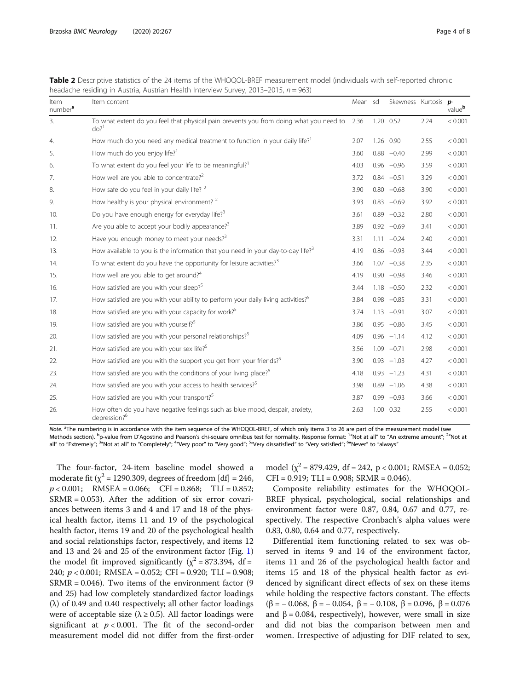| Item<br>number <sup>a</sup> | Item content                                                                                                     | Mean sd | Skewness Kurtosis p- |      | value <sup>b</sup> |
|-----------------------------|------------------------------------------------------------------------------------------------------------------|---------|----------------------|------|--------------------|
| 3.                          | To what extent do you feel that physical pain prevents you from doing what you need to<br>$d\rho$ ? <sup>1</sup> | 2.36    | 1.20 0.52            | 2.24 | < 0.001            |
| 4.                          | How much do you need any medical treatment to function in your daily life? <sup>1</sup>                          | 2.07    | 1.26 0.90            | 2.55 | < 0.001            |
| 5.                          | How much do you enjoy life? <sup>1</sup>                                                                         | 3.60    | $0.88 - 0.40$        | 2.99 | < 0.001            |
| 6.                          | To what extent do you feel your life to be meaningful? <sup>1</sup>                                              | 4.03    | $0.96 -0.96$         | 3.59 | < 0.001            |
| 7.                          | How well are you able to concentrate? <sup>2</sup>                                                               | 3.72    | $0.84 - 0.51$        | 3.29 | < 0.001            |
| 8.                          | How safe do you feel in your daily life? <sup>2</sup>                                                            | 3.90    | $0.80 - 0.68$        | 3.90 | < 0.001            |
| 9.                          | How healthy is your physical environment? $2^2$                                                                  | 3.93    | $0.83 - 0.69$        | 3.92 | < 0.001            |
| 10.                         | Do you have enough energy for everyday life? <sup>3</sup>                                                        | 3.61    | $0.89 - 0.32$        | 2.80 | < 0.001            |
| 11.                         | Are you able to accept your bodily appearance? <sup>3</sup>                                                      | 3.89    | $0.92 -0.69$         | 3.41 | < 0.001            |
| 12.                         | Have you enough money to meet your needs? <sup>3</sup>                                                           | 3.31    | $1.11 - 0.24$        | 2.40 | < 0.001            |
| 13.                         | How available to you is the information that you need in your day-to-day life? $3$                               | 4.19    | $0.86 - 0.93$        | 3.44 | < 0.001            |
| 14.                         | To what extent do you have the opportunity for leisure activities? <sup>3</sup>                                  | 3.66    | $1.07 -0.38$         | 2.35 | < 0.001            |
| 15.                         | How well are you able to get around? <sup>4</sup>                                                                | 4.19    | $0.90 -0.98$         | 3.46 | < 0.001            |
| 16.                         | How satisfied are you with your sleep? <sup>5</sup>                                                              | 3.44    | $1.18 - 0.50$        | 2.32 | < 0.001            |
| 17.                         | How satisfied are you with your ability to perform your daily living activities? <sup>5</sup>                    | 3.84    | $0.98 - 0.85$        | 3.31 | < 0.001            |
| 18.                         | How satisfied are you with your capacity for work? <sup>5</sup>                                                  | 3.74    | $1.13 -0.91$         | 3.07 | < 0.001            |
| 19.                         | How satisfied are you with yourself? <sup>5</sup>                                                                | 3.86    | $0.95 -0.86$         | 3.45 | < 0.001            |
| 20.                         | How satisfied are you with your personal relationships? <sup>5</sup>                                             | 4.09    | $0.96 -1.14$         | 4.12 | < 0.001            |
| 21.                         | How satisfied are you with your sex life? <sup>5</sup>                                                           | 3.56    | $1.09 -0.71$         | 2.98 | < 0.001            |
| 22.                         | How satisfied are you with the support you get from your friends? <sup>5</sup>                                   | 3.90    | $0.93 - 1.03$        | 4.27 | < 0.001            |
| 23.                         | How satisfied are you with the conditions of your living place? <sup>5</sup>                                     | 4.18    | $0.93 - 1.23$        | 4.31 | < 0.001            |
| 24.                         | How satisfied are you with your access to health services? <sup>5</sup>                                          | 3.98    | $0.89 - 1.06$        | 4.38 | < 0.001            |
| 25.                         | How satisfied are you with your transport? <sup>5</sup>                                                          | 3.87    | $0.99 - 0.93$        | 3.66 | < 0.001            |
| 26.                         | How often do you have negative feelings such as blue mood, despair, anxiety,<br>depression? <sup>6</sup>         | 2.63    | 1.00 0.32            | 2.55 | < 0.001            |

<span id="page-3-0"></span>Table 2 Descriptive statistics of the 24 items of the WHOQOL-BREF measurement model (individuals with self-reported chronic headache residing in Austria, Austrian Health Interview Survey, 2013–2015, n = 963)

Note. <sup>a</sup>The numbering is in accordance with the item sequence of the WHOQOL-BREF, of which only items 3 to 26 are part of the measurement model (see<br>Methods section), <sup>b</sup>o-value from D'Agostino and Pearson's chi-square om Methods section). <sup>b</sup>p-value from D'Agostino and Pearson's chi-square omnibus test for normality. Response format: ""Not at all" to "An extreme amount"; <sup>2</sup>"Not at<br>all" to "Extremely"; <sup>3</sup>"Not at all" to "Completely"; <sup>4</sup>"

The four-factor, 24-item baseline model showed a moderate fit ( $\chi^2$  = 1290.309, degrees of freedom [df] = 246,  $p < 0.001$ ; RMSEA = 0.066; CFI = 0.868; TLI = 0.852; SRMR = 0.053). After the addition of six error covariances between items 3 and 4 and 17 and 18 of the physical health factor, items 11 and 19 of the psychological health factor, items 19 and 20 of the psychological health and social relationships factor, respectively, and items 12 and 13 and 24 and 25 of the environment factor (Fig. [1](#page-4-0)) the model fit improved significantly ( $\chi^2$  = 873.394, df = 240; p < 0.001; RMSEA = 0.052; CFI = 0.920; TLI = 0.908;  $SRMR = 0.046$ ). Two items of the environment factor (9) and 25) had low completely standardized factor loadings (λ) of 0.49 and 0.40 respectively; all other factor loadings were of acceptable size ( $\lambda \ge 0.5$ ). All factor loadings were significant at  $p < 0.001$ . The fit of the second-order measurement model did not differ from the first-order model  $(x^2 = 879.429, df = 242, p < 0.001; RMSEA = 0.052;$  $CFI = 0.919$ ; TLI = 0.908; SRMR = 0.046).

Composite reliability estimates for the WHOQOL-BREF physical, psychological, social relationships and environment factor were 0.87, 0.84, 0.67 and 0.77, respectively. The respective Cronbach's alpha values were 0.83, 0.80, 0.64 and 0.77, respectively.

Differential item functioning related to sex was observed in items 9 and 14 of the environment factor, items 11 and 26 of the psychological health factor and items 15 and 18 of the physical health factor as evidenced by significant direct effects of sex on these items while holding the respective factors constant. The effects (β = − 0.068, β = − 0.054, β = − 0.108, β = 0.096, β = 0.076 and  $β = 0.084$ , respectively), however, were small in size and did not bias the comparison between men and women. Irrespective of adjusting for DIF related to sex,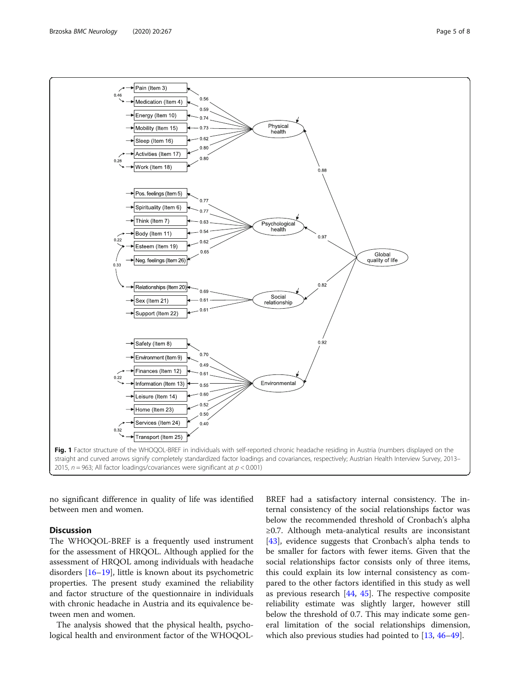<span id="page-4-0"></span>

no significant difference in quality of life was identified between men and women.

## **Discussion**

The WHOQOL-BREF is a frequently used instrument for the assessment of HRQOL. Although applied for the assessment of HRQOL among individuals with headache disorders [[16](#page-6-0)–[19](#page-6-0)], little is known about its psychometric properties. The present study examined the reliability and factor structure of the questionnaire in individuals with chronic headache in Austria and its equivalence between men and women.

The analysis showed that the physical health, psychological health and environment factor of the WHOQOL-

BREF had a satisfactory internal consistency. The internal consistency of the social relationships factor was below the recommended threshold of Cronbach's alpha ≥0.7. Although meta-analytical results are inconsistant [[43\]](#page-6-0), evidence suggests that Cronbach's alpha tends to be smaller for factors with fewer items. Given that the social relationships factor consists only of three items, this could explain its low internal consistency as compared to the other factors identified in this study as well as previous research [[44,](#page-6-0) [45\]](#page-6-0). The respective composite reliability estimate was slightly larger, however still below the threshold of 0.7. This may indicate some general limitation of the social relationships dimension, which also previous studies had pointed to [[13,](#page-6-0) [46](#page-6-0)–[49](#page-6-0)].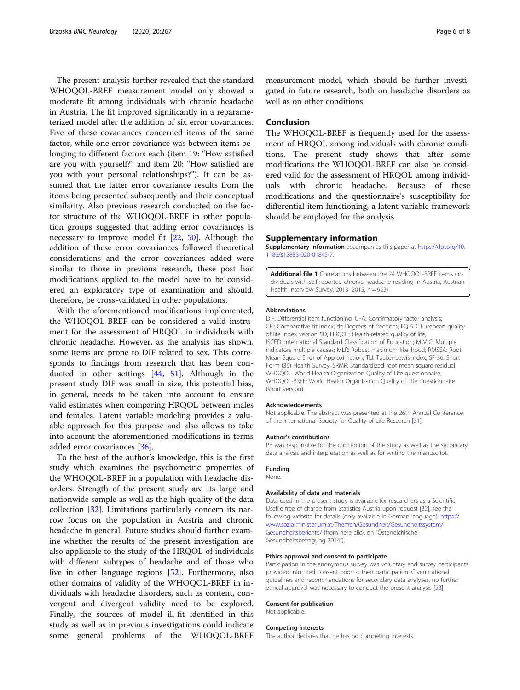<span id="page-5-0"></span>The present analysis further revealed that the standard WHOQOL-BREF measurement model only showed a moderate fit among individuals with chronic headache in Austria. The fit improved significantly in a reparameterized model after the addition of six error covariances. Five of these covariances concerned items of the same factor, while one error covariance was between items belonging to different factors each (item 19: "How satisfied are you with yourself?" and item 20: "How satisfied are you with your personal relationships?"). It can be assumed that the latter error covariance results from the items being presented subsequently and their conceptual similarity. Also previous research conducted on the factor structure of the WHOQOL-BREF in other population groups suggested that adding error covariances is necessary to improve model fit [\[22,](#page-6-0) [50\]](#page-6-0). Although the addition of these error covariances followed theoretical considerations and the error covariances added were similar to those in previous research, these post hoc modifications applied to the model have to be considered an exploratory type of examination and should, therefore, be cross-validated in other populations.

With the aforementioned modifications implemented, the WHOQOL-BREF can be considered a valid instrument for the assessment of HRQOL in individuals with chronic headache. However, as the analysis has shown, some items are prone to DIF related to sex. This corresponds to findings from research that has been conducted in other settings [\[44](#page-6-0), [51\]](#page-7-0). Although in the present study DIF was small in size, this potential bias, in general, needs to be taken into account to ensure valid estimates when comparing HRQOL between males and females. Latent variable modeling provides a valuable approach for this purpose and also allows to take into account the aforementioned modifications in terms added error covariances [[36\]](#page-6-0).

To the best of the author's knowledge, this is the first study which examines the psychometric properties of the WHOQOL-BREF in a population with headache disorders. Strength of the present study are its large and nationwide sample as well as the high quality of the data collection [\[32](#page-6-0)]. Limitations particularly concern its narrow focus on the population in Austria and chronic headache in general. Future studies should further examine whether the results of the present investigation are also applicable to the study of the HRQOL of individuals with different subtypes of headache and of those who live in other language regions [[52\]](#page-7-0). Furthermore, also other domains of validity of the WHOQOL-BREF in individuals with headache disorders, such as content, convergent and divergent validity need to be explored. Finally, the sources of model ill-fit identified in this study as well as in previous investigations could indicate some general problems of the WHOQOL-BREF measurement model, which should be further investigated in future research, both on headache disorders as well as on other conditions.

## Conclusion

The WHOQOL-BREF is frequently used for the assessment of HRQOL among individuals with chronic conditions. The present study shows that after some modifications the WHOQOL-BREF can also be considered valid for the assessment of HRQOL among individuals with chronic headache. Because of these modifications and the questionnaire's susceptibility for differential item functioning, a latent variable framework should be employed for the analysis.

#### Supplementary information

Supplementary information accompanies this paper at [https://doi.org/10.](https://doi.org/10.1186/s12883-020-01845-7) [1186/s12883-020-01845-7](https://doi.org/10.1186/s12883-020-01845-7).

Additional file 1 Correlations between the 24 WHOQOL-BREF items (individuals with self-reported chronic headache residing in Austria, Austrian Health Interview Survey, 2013-2015,  $n = 963$ )

#### Abbreviations

DIF: Differential item functioning; CFA: Confirmatory factor analysis; CFI: Comparative fit index; df: Degrees of freedom; EQ-5D: European quality of life index version 5D; HRQOL: Health-related quality of life; ISCED: International Standard Classification of Education; MIMIC: Multiple indicators multiple causes; MLR: Robust maximum likelihood; RMSEA: Root Mean Square Error of Approximation; TLI: Tucker-Lewis-Index; SF-36: Short Form (36) Health Survey; SRMR: Standardized root mean square residual; WHOQOL: World Health Organization Quality of Life questionnaire; WHOQOL-BREF: World Health Organization Quality of Life questionnaire (short version)

#### Acknowledgements

Not applicable. The abstract was presented at the 26th Annual Conference of the International Society for Quality of Life Research [[31](#page-6-0)].

#### Author's contributions

PB was responsible for the conception of the study as well as the secondary data analysis and interpretation as well as for writing the manuscript.

#### Funding

None.

#### Availability of data and materials

Data used in the present study is available for researchers as a Scientific Usefile free of charge from Statistics Austria upon request [[32](#page-6-0)]; see the following website for details (only available in German language): [https://](https://www.sozialministerium.at/Themen/Gesundheit/Gesundheitssystem/Gesundheitsberichte/) [www.sozialministerium.at/Themen/Gesundheit/Gesundheitssystem/](https://www.sozialministerium.at/Themen/Gesundheit/Gesundheitssystem/Gesundheitsberichte/) [Gesundheitsberichte/](https://www.sozialministerium.at/Themen/Gesundheit/Gesundheitssystem/Gesundheitsberichte/) (from here click on "Österreichische Gesundheitsbefragung 2014").

#### Ethics approval and consent to participate

Participation in the anonymous survey was voluntary and survey participants provided informed consent prior to their participation. Given national guidelines and recommendations for secondary data analyses, no further ethical approval was necessary to conduct the present analysis [[53\]](#page-7-0).

#### Consent for publication

Not applicable.

#### Competing interests

The author declares that he has no competing interests.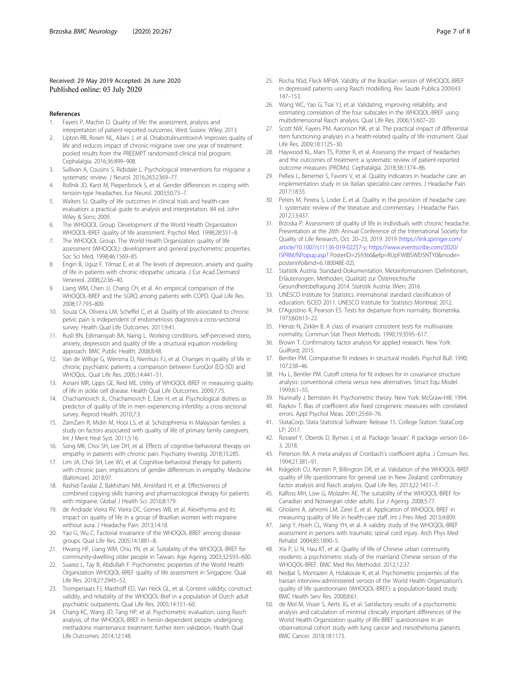### <span id="page-6-0"></span>Received: 29 May 2019 Accepted: 26 June 2020 Published online: 03 July 2020

#### References

- 1. Fayers P, Machin D. Quality of life: the assessment, analysis and interpretation of patient-reported outcomes. West Sussex: Wiley; 2013.
- Lipton RB, Rosen NL, Ailani J, et al. OnabotulinumtoxinA improves quality of life and reduces impact of chronic migraine over one year of treatment: pooled results from the PREEMPT randomized clinical trial program. Cephalalgia. 2016;36:899–908.
- Sullivan A, Cousins S, Ridsdale L. Psychological interventions for migraine: a systematic review. J Neurol. 2016;263:2369–77.
- 4. Rollnik JD, Karst M, Piepenbrock S, et al. Gender differences in coping with tension-type headaches. Eur Neurol. 2003;50:73–7.
- 5. Walters SJ. Quality of life outcomes in clinical trials and health-care evaluation: a practical guide to analysis and interpretation. 84 ed. John Wiley & Sons; 2009.
- The WHOQOL Group. Development of the World Health Organization WHOQOL-BREF quality of life assessment. Psychol Med. 1998;28:551–8.
- 7. The WHOQOL Group. The World Health Organization quality of life assessment (WHOQOL): development and general psychometric properties. Soc Sci Med. 1998;46:1569–85.
- Engin B, Uguz F, Yilmaz E, et al. The levels of depression, anxiety and quality of life in patients with chronic idiopathic urticaria. J Eur Acad Dermatol Venereol. 2008;22:36–40.
- 9. Liang WM, Chen JJ, Chang CH, et al. An empirical comparison of the WHOQOL-BREF and the SGRQ among patients with COPD. Qual Life Res. 2008;17:793–800.
- 10. Souza CA, Oliveira LM, Scheffel C, et al. Quality of life associated to chronic pelvic pain is independent of endometriosis diagnosis-a cross-sectional survey. Health Qual Life Outcomes. 2011;9:41.
- 11. Rusli BN, Edimansyah BA, Naing L. Working conditions, self-perceived stress, anxiety, depression and quality of life: a structural equation modelling approach. BMC Public Health. 2008;8:48.
- 12. Van de Willige G, Wiersma D, Nienhuis FJ, et al. Changes in quality of life in chronic psychiatric patients: a comparison between EuroQol (EQ-5D) and WHOQoL. Qual Life Res. 2005;14:441–51.
- 13. Asnani MR, Lipps GE, Reid ME. Utility of WHOQOL-BREF in measuring quality of life in sickle cell disease. Health Qual Life Outcomes. 2009;7:75.
- 14. Chachamovich JL, Chachamovich E, Ezer H, et al. Psychological distress as predictor of quality of life in men experiencing infertility: a cross-sectional survey. Reprod Health. 2010;7:3.
- 15. ZamZam R, Midin M, Hooi LS, et al. Schizophrenia in Malaysian families: a study on factors associated with quality of life of primary family caregivers. Int J Ment Heal Syst. 2011;5:16.
- 16. Song MK, Choi SH, Lee DH, et al. Effects of cognitive-behavioral therapy on empathy in patients with chronic pain. Psychiatry Investig. 2018;15:285.
- 17. Lim JA, Choi SH, Lee WJ, et al. Cognitive-behavioral therapy for patients with chronic pain: implications of gender differences in empathy. Medicine (Baltimore). 2018;97.
- 18. Rashid-Tavalai Z, Bakhshani NM, Amirifard H, et al. Effectiveness of combined copying skills training and pharmacological therapy for patients with migraine. Global J Health Sci. 2016;8:179.
- 19. de Andrade Vieira RV, Vieira DC, Gomes WB, et al. Alexithymia and its impact on quality of life in a group of Brazilian women with migraine without aura. J Headache Pain. 2013;14:18.
- 20. Yao G, Wu C. Factorial invariance of the WHOQOL-BREF among disease groups. Qual Life Res. 2005;14:1881–8.
- 21. Hwang HF, Liang WM, Chiu YN, et al. Suitability of the WHOQOL-BREF for community-dwelling older people in Taiwan. Age Ageing. 2003;32:593–600.
- 22. Suarez L, Tay B, Abdullah F. Psychometric properties of the World Health Organization WHOQOL-BREF quality of life assessment in Singapore. Qual Life Res. 2018;27:2945–52.
- 23. Trompenaars FJ, Masthoff ED, Van Heck GL, et al. Content validity, construct validity, and reliability of the WHOQOL-Bref in a population of Dutch adult psychiatric outpatients. Qual Life Res. 2005;14:151–60.
- 24. Chang KC, Wang JD, Tang HP, et al. Psychometric evaluation, using Rasch analysis, of the WHOQOL-BREF in heroin-dependent people undergoing methadone maintenance treatment: further item validation. Health Qual Life Outcomes. 2014;12:148.
- 25. Rocha NSd, Fleck MPdA. Validity of the Brazilian version of WHOQOL-BREF in depressed patients using Rasch modelling. Rev Saude Publica 2009;43: 147–153.
- 26. Wang WC, Yao G, Tsai YJ, et al. Validating, improving reliability, and estimating correlation of the four subscales in the WHOQOL-BREF using multidimensional Rasch analysis. Qual Life Res. 2006;15:607–20.
- 27. Scott NW, Fayers PM, Aaronson NK, et al. The practical impact of differential item functioning analyses in a health-related quality of life instrument. Qual Life Res. 2009;18:1125–30.
- 28. Haywood KL, Mars TS, Potter R, et al. Assessing the impact of headaches and the outcomes of treatment: a systematic review of patient-reported outcome measures (PROMs). Cephalalgia. 2018;38:1374–86.
- 29. Pellesi L, Benemei S, Favoni V, et al. Quality indicators in headache care: an implementation study in six Italian specialist-care centres. J Headache Pain. 2017;18:55.
- 30. Peters M, Perera S, Loder E, et al. Quality in the provision of headache care. 1: systematic review of the literature and commentary. J Headache Pain. 2012;13:437.
- 31. Brzoska P. Assessment of quality of life in individuals with chronic headache. Presentation at the 26th Annual Conference of the International Society for Quality of Life Research, Oct. 20–23, 2019. 2019 ([https://link.springer.com/](https://link.springer.com/article/10.1007/s11136-019-02257-y;) [article/10.1007/s11136-019-02257-y;](https://link.springer.com/article/10.1007/s11136-019-02257-y;) [https://www.eventscribe.com/2020/](https://www.eventscribe.com/2020/ISPRM/fsPopup.asp?) [ISPRM/fsPopup.asp?](https://www.eventscribe.com/2020/ISPRM/fsPopup.asp?) PosterID=259366&efp=RUpFWlBSWEI5NTY0&mode= posterinfo&rnd=6.180048E-02).
- 32. Statistik Austria. Standard-Dokumentation. Metainformationen (Definitionen, Erläuterungen, Methoden, Qualität) zur Österreichische Gesundheitsbefragung 2014. Statistik Austria: Wien; 2016.
- 33. UNESCO Institute for Statistics. International standard classification of education: ISCED 2011. UNESCO Institute for Statistics Montreal; 2012.
- 34. D'Agostino R, Pearson ES. Tests for departure from normality. Biometrika. 1973;60:613–22.
- 35. Henze N, Zirkler B. A class of invariant consistent tests for multivariate normality. Commun Stat Theor Methods. 1990;19:3595–617.
- 36. Brown T. Confirmatory factor analysis for applied research. New York: Guilford; 2015.
- 37. Bentler PM. Comparative fit indexes in structural models. Psychol Bull. 1990; 107:238–46.
- 38. Hu L, Bentler PM. Cutoff criteria for fit indexes for in covariance structure analysis: conventional criteria versus new alternatives. Struct Equ Model. 1999;6:1–55.
- 39. Nunnally J, Bernstein IH. Psychometric theory. New York: McGraw-Hill; 1994.
- 40. Raykov T. Bias of coefficient afor fixed congeneric measures with correlated errors. Appl Psychol Meas. 2001;25:69–76.
- 41. StataCorp. Stata Statistical Software: Release 15. College Station: StataCorp LP; 2017.
- 42. Rosseel Y, Oberski D, Byrnes J, et al. Package 'lavaan'. R package version 0.6– 3. 2018.
- 43. Peterson RA. A meta-analysis of Cronbach's coefficient alpha. J Consum Res. 1994;21:381–91.
- 44. Krägeloh CU, Kersten P, Billington DR, et al. Validation of the WHOQOL-BREF quality of life questionnaire for general use in New Zealand: confirmatory factor analysis and Rasch analysis. Qual Life Res. 2013;22:1451–7.
- 45. Kalfoss MH, Low G, Molzahn AE. The suitability of the WHOQOL-BREF for Canadian and Norwegian older adults. Eur J Ageing. 2008;5:77.
- 46. Gholami A, Jahromi LM, Zarei E, et al. Application of WHOQOL-BREF in measuring quality of life in health-care staff. Int J Prev Med. 2013;4:809.
- 47. Jang Y, Hsieh CL, Wang YH, et al. A validity study of the WHOQOL-BREF assessment in persons with traumatic spinal cord injury. Arch Phys Med Rehabil. 2004;85:1890–5.
- 48. Xia P, Li N, Hau KT, et al. Quality of life of Chinese urban community residents: a psychometric study of the mainland Chinese version of the WHOQOL-BREF. BMC Med Res Methodol. 2012;12:37.
- 49. Nedjat S, Montazeri A, Holakouie K, et al. Psychometric properties of the Iranian interview-administered version of the World Health Organization's quality of life questionnaire (WHOQOL-BREF): a population-based study. BMC Health Serv Res. 2008;8:61.
- 50. de Mol M, Visser S, Aerts JG, et al. Satisfactory results of a psychometric analysis and calculation of minimal clinically important differences of the World Health Organization quality of life-BREF questionnaire in an observational cohort study with lung cancer and mesothelioma patients. BMC Cancer. 2018;18:1173.